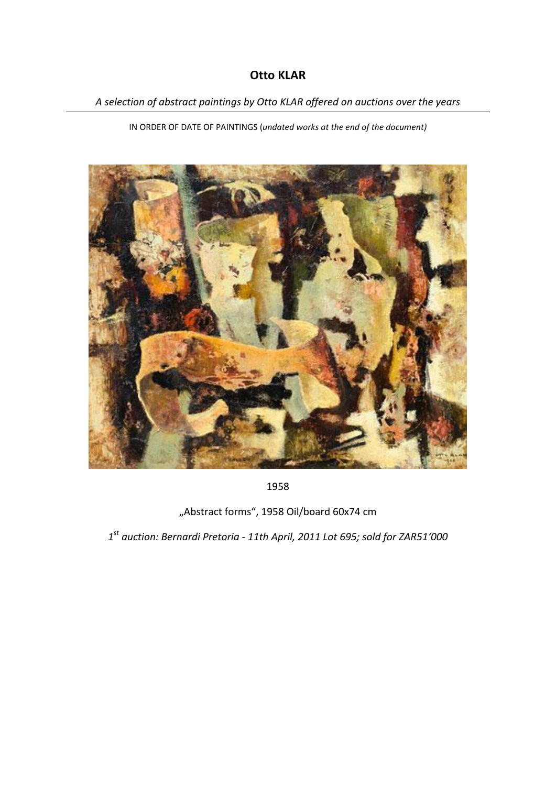## **Otto KLAR**

*A selection of abstract paintings by Otto KLAR offered on auctions over the years*

IN ORDER OF DATE OF PAINTINGS (*undated works at the end of the document)*



1958

"Abstract forms", 1958 Oil/board 60x74 cm

*1 st auction: Bernardi Pretoria - 11th April, 2011 Lot 695; sold for ZAR51'000*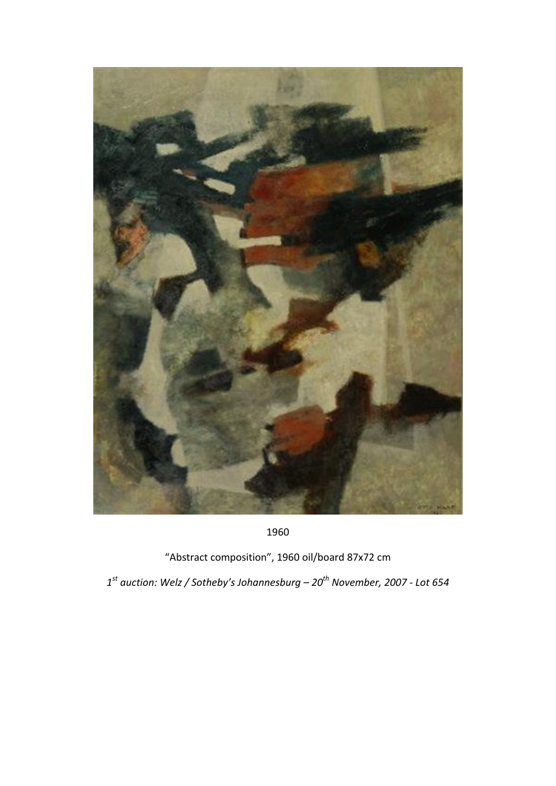

```
"Abstract composition", 1960 oil/board 87x72 cm
```
*st auction: Welz / Sotheby's Johannesburg – 20th November, 2007 - Lot 654*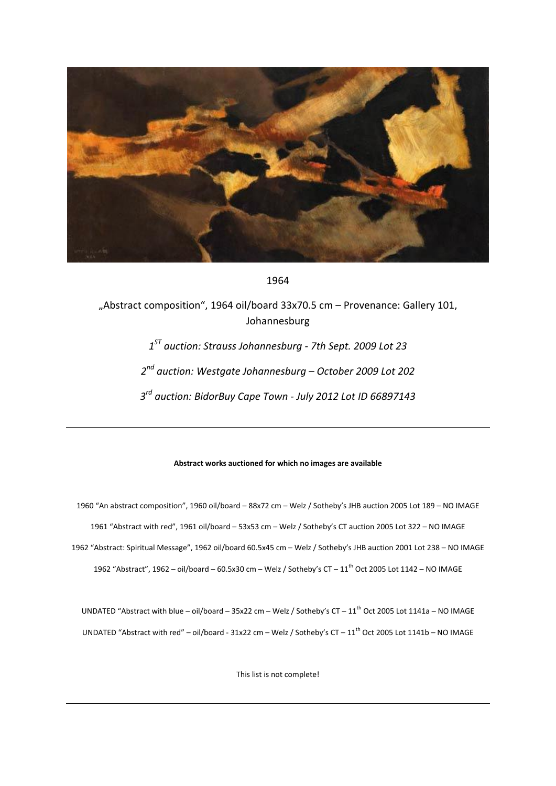

1964

"Abstract composition", 1964 oil/board 33x70.5 cm – Provenance: Gallery 101, Johannesburg

> *1 ST auction: Strauss Johannesburg - 7th Sept. 2009 Lot 23 2 nd auction: Westgate Johannesburg – October 2009 Lot 202 3 rd auction: BidorBuy Cape Town - July 2012 Lot ID 66897143*

## **Abstract works auctioned for which no images are available**

1960 "An abstract composition", 1960 oil/board – 88x72 cm – Welz / Sotheby's JHB auction 2005 Lot 189 – NO IMAGE 1961 "Abstract with red", 1961 oil/board – 53x53 cm – Welz / Sotheby's CT auction 2005 Lot 322 – NO IMAGE 1962 "Abstract: Spiritual Message", 1962 oil/board 60.5x45 cm – Welz / Sotheby's JHB auction 2001 Lot 238 – NO IMAGE 1962 "Abstract", 1962 – oil/board – 60.5x30 cm – Welz / Sotheby's CT –  $11<sup>th</sup>$  Oct 2005 Lot 1142 – NO IMAGE

UNDATED "Abstract with blue – oil/board – 35x22 cm – Welz / Sotheby's CT –  $11^{\text{th}}$  Oct 2005 Lot 1141a – NO IMAGE UNDATED "Abstract with red" – oil/board - 31x22 cm – Welz / Sotheby's CT –  $11^{\text{th}}$  Oct 2005 Lot 1141b – NO IMAGE

This list is not complete!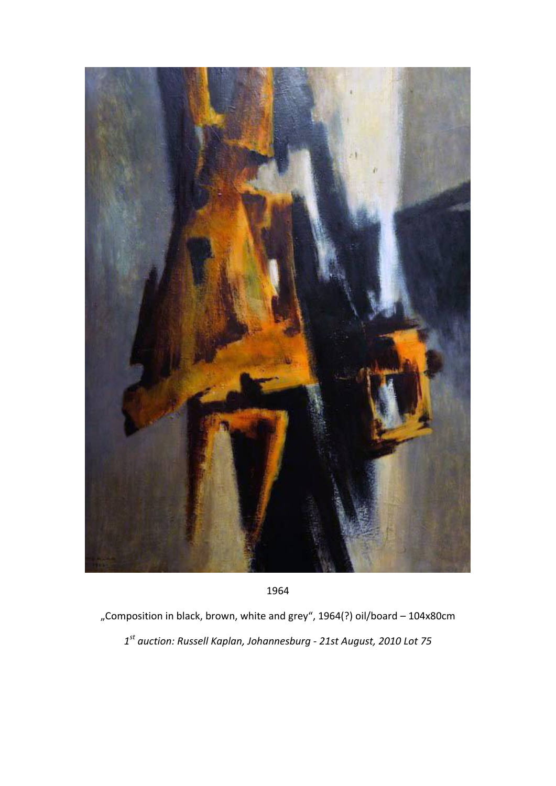

"Composition in black, brown, white and grey", 1964(?) oil/board - 104x80cm *st auction: Russell Kaplan, Johannesburg - 21st August, 2010 Lot 75*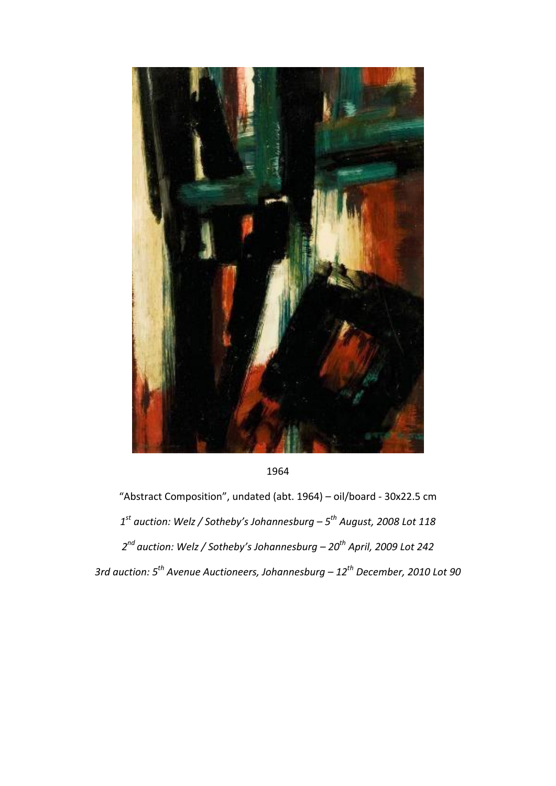

1964

"Abstract Composition", undated (abt. 1964) – oil/board - 30x22.5 cm *1 st auction: Welz / Sotheby's Johannesburg – 5 th August, 2008 Lot 118 2 nd auction: Welz / Sotheby's Johannesburg – 20th April, 2009 Lot 242 3rd auction: 5th Avenue Auctioneers, Johannesburg – 12th December, 2010 Lot 90*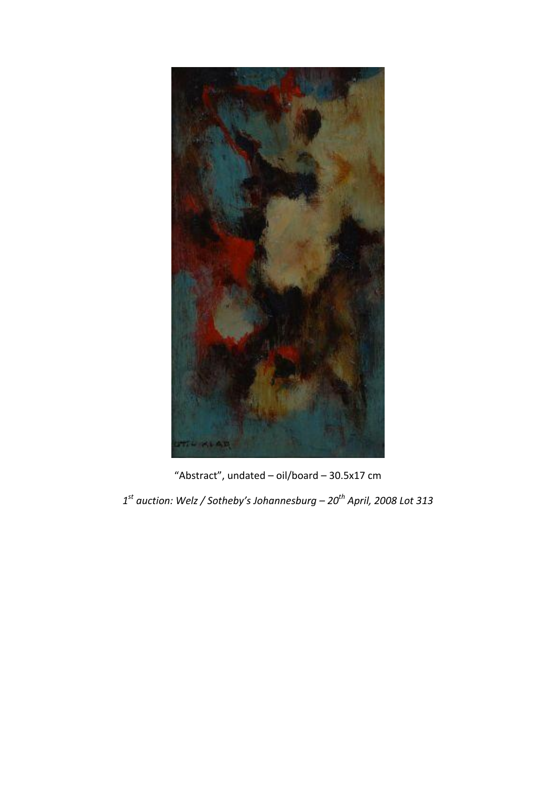